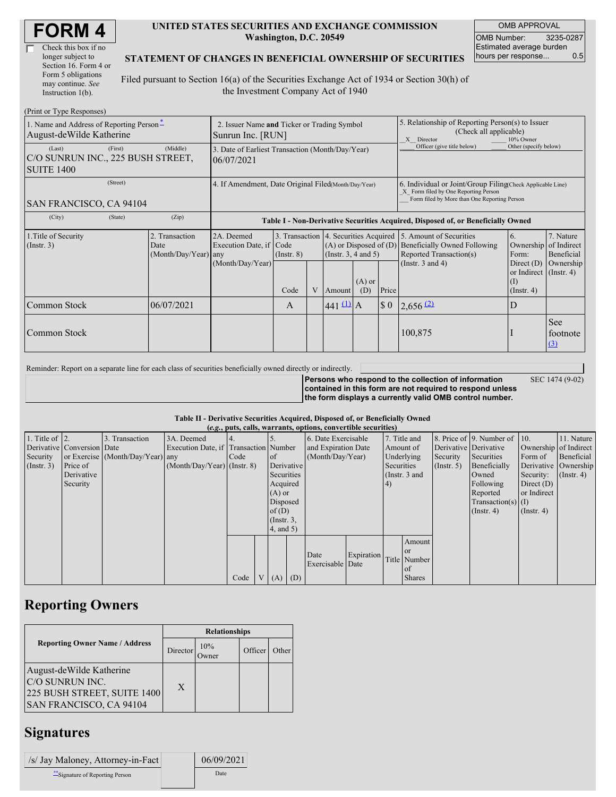| Check this box if no  |
|-----------------------|
| longer subject to     |
| Section 16. Form 4 or |
| Form 5 obligations    |
| may continue. See     |
| Instruction 1(b).     |

#### **UNITED STATES SECURITIES AND EXCHANGE COMMISSION Washington, D.C. 20549**

OMB APPROVAL OMB Number: 3235-0287 Estimated average burden hours per response... 0.5

#### **STATEMENT OF CHANGES IN BENEFICIAL OWNERSHIP OF SECURITIES**

Filed pursuant to Section 16(a) of the Securities Exchange Act of 1934 or Section 30(h) of the Investment Company Act of 1940

| (Print or Type Responses)                                                   |                                                                  |                                                      |                                                                                  |  |                                                        |                                                                                                                                                    |                             |                                                                                                                                                                          |                         |                                                                                               |
|-----------------------------------------------------------------------------|------------------------------------------------------------------|------------------------------------------------------|----------------------------------------------------------------------------------|--|--------------------------------------------------------|----------------------------------------------------------------------------------------------------------------------------------------------------|-----------------------------|--------------------------------------------------------------------------------------------------------------------------------------------------------------------------|-------------------------|-----------------------------------------------------------------------------------------------|
| 1. Name and Address of Reporting Person-<br>August-deWilde Katherine        | 2. Issuer Name and Ticker or Trading Symbol<br>Sunrun Inc. [RUN] |                                                      |                                                                                  |  |                                                        | 5. Relationship of Reporting Person(s) to Issuer<br>(Check all applicable)<br>10% Owner<br>X Director                                              |                             |                                                                                                                                                                          |                         |                                                                                               |
| (First)<br>(Last)<br>C/O SUNRUN INC., 225 BUSH STREET,<br><b>SUITE 1400</b> | 3. Date of Earliest Transaction (Month/Day/Year)<br>06/07/2021   |                                                      |                                                                                  |  |                                                        | Officer (give title below)                                                                                                                         | Other (specify below)       |                                                                                                                                                                          |                         |                                                                                               |
| (Street)<br>SAN FRANCISCO, CA 94104                                         | 4. If Amendment, Date Original Filed(Month/Day/Year)             |                                                      |                                                                                  |  |                                                        | 6. Individual or Joint/Group Filing Check Applicable Line)<br>X Form filed by One Reporting Person<br>Form filed by More than One Reporting Person |                             |                                                                                                                                                                          |                         |                                                                                               |
| (City)<br>(State)                                                           | (Zip)                                                            |                                                      | Table I - Non-Derivative Securities Acquired, Disposed of, or Beneficially Owned |  |                                                        |                                                                                                                                                    |                             |                                                                                                                                                                          |                         |                                                                                               |
| 1. Title of Security<br>$($ Instr. 3 $)$                                    | 2. Transaction<br>Date<br>(Month/Day/Year) any                   | 2A. Deemed<br>Execution Date, if<br>(Month/Day/Year) | 3. Transaction<br>Code<br>$($ Instr. $8)$                                        |  | $(A)$ or Disposed of $(D)$<br>(Instr. $3, 4$ and $5$ ) |                                                                                                                                                    |                             | 4. Securities Acquired 5. Amount of Securities<br>6.<br><b>Beneficially Owned Following</b><br>Reported Transaction(s)<br>Form:<br>(Instr. $3$ and $4$ )<br>Direct $(D)$ |                         | 7. Nature<br>Ownership of Indirect<br>Beneficial<br>Ownership<br>or Indirect $($ Instr. 4 $)$ |
|                                                                             |                                                                  |                                                      | Code                                                                             |  | Amount                                                 | $(A)$ or<br>(D)                                                                                                                                    | Price                       |                                                                                                                                                                          | (I)<br>$($ Instr. 4 $)$ |                                                                                               |
| Common Stock                                                                | 06/07/2021                                                       |                                                      | $\mathsf{A}$                                                                     |  | $441 \underline{11}$ A                                 |                                                                                                                                                    | $\boldsymbol{\mathsf{S}}$ 0 | $2,656$ <sup>(2)</sup>                                                                                                                                                   | D                       |                                                                                               |
| Common Stock                                                                |                                                                  |                                                      |                                                                                  |  |                                                        |                                                                                                                                                    |                             | 100,875                                                                                                                                                                  |                         | <b>See</b><br>footnote<br>(3)                                                                 |

Reminder: Report on a separate line for each class of securities beneficially owned directly or indirectly.

SEC 1474 (9-02)

**Persons who respond to the collection of information contained in this form are not required to respond unless the form displays a currently valid OMB control number.**

#### **Table II - Derivative Securities Acquired, Disposed of, or Beneficially Owned**

| (e.g., puts, calls, warrants, options, convertible securities) |                            |                                  |                                       |      |                |                  |            |                     |            |              |                 |               |                              |                       |                      |
|----------------------------------------------------------------|----------------------------|----------------------------------|---------------------------------------|------|----------------|------------------|------------|---------------------|------------|--------------|-----------------|---------------|------------------------------|-----------------------|----------------------|
| 1. Title of $\vert$ 2.                                         |                            | 3. Transaction                   | 3A. Deemed                            |      |                |                  |            | 6. Date Exercisable |            | 7. Title and |                 |               | 8. Price of 9. Number of 10. |                       | 11. Nature           |
|                                                                | Derivative Conversion Date |                                  | Execution Date, if Transaction Number |      |                |                  |            | and Expiration Date |            | Amount of    |                 |               | Derivative Derivative        | Ownership of Indirect |                      |
| Security                                                       |                            | or Exercise (Month/Day/Year) any |                                       | Code |                | of               |            | (Month/Day/Year)    |            | Underlying   |                 | Security      | Securities                   | Form of               | Beneficial           |
| (Insert. 3)                                                    | Price of                   |                                  | $(Month/Day/Year)$ (Instr. 8)         |      |                |                  | Derivative |                     |            | Securities   |                 | $($ Instr. 5) | Beneficially                 |                       | Derivative Ownership |
|                                                                | Derivative                 |                                  |                                       |      |                | Securities       |            |                     |            |              | (Instr. $3$ and |               | Owned                        | Security:             | $($ Instr. 4 $)$     |
|                                                                | Security                   |                                  |                                       |      |                | Acquired         |            |                     |            | (4)          |                 |               | Following                    | Direct $(D)$          |                      |
|                                                                |                            |                                  |                                       |      |                | $(A)$ or         |            |                     |            |              |                 |               | Reported                     | or Indirect           |                      |
|                                                                |                            |                                  |                                       |      |                | Disposed         |            |                     |            |              |                 |               | $Transaction(s)$ (I)         |                       |                      |
|                                                                |                            |                                  |                                       |      |                | of(D)            |            |                     |            |              |                 |               | $($ Instr. 4 $)$             | $($ Instr. 4 $)$      |                      |
|                                                                |                            |                                  |                                       |      |                | $($ Instr. $3$ , |            |                     |            |              |                 |               |                              |                       |                      |
|                                                                |                            |                                  |                                       |      |                | 4, and 5)        |            |                     |            |              |                 |               |                              |                       |                      |
|                                                                |                            |                                  |                                       |      |                |                  |            |                     |            |              | Amount          |               |                              |                       |                      |
|                                                                |                            |                                  |                                       |      |                |                  |            | Date                | Expiration |              | $\alpha$        |               |                              |                       |                      |
|                                                                |                            |                                  |                                       |      |                |                  |            | Exercisable Date    |            |              | Title Number    |               |                              |                       |                      |
|                                                                |                            |                                  |                                       |      |                |                  |            |                     |            |              | <sub>of</sub>   |               |                              |                       |                      |
|                                                                |                            |                                  |                                       | Code | V <sub>1</sub> | $(A)$ $(D)$      |            |                     |            |              | <b>Shares</b>   |               |                              |                       |                      |

### **Reporting Owners**

|                                                                                                       | <b>Relationships</b> |              |         |       |  |  |  |  |
|-------------------------------------------------------------------------------------------------------|----------------------|--------------|---------|-------|--|--|--|--|
| <b>Reporting Owner Name / Address</b>                                                                 | Director             | 10%<br>)wner | Officer | Other |  |  |  |  |
| August-deWilde Katherine<br>C/O SUNRUN INC.<br>225 BUSH STREET, SUITE 1400<br>SAN FRANCISCO, CA 94104 | X                    |              |         |       |  |  |  |  |

# **Signatures**

| /s/ Jay Maloney, Attorney-in-Fact | 06/09/2021 |
|-----------------------------------|------------|
| Signature of Reporting Person     | Date       |